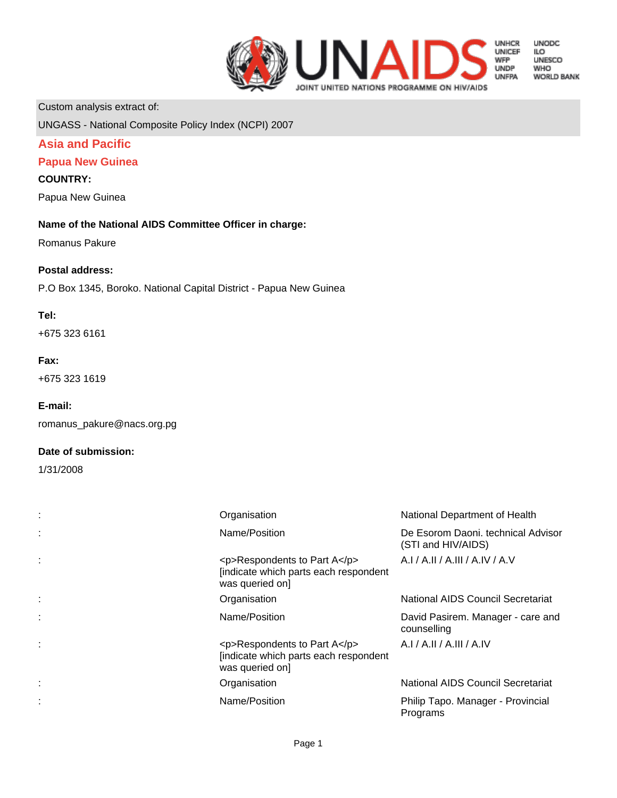

**UNODC LO<br>ILO<br>UNESCO WHO WORLD BANK** 

Custom analysis extract of:

UNGASS - National Composite Policy Index (NCPI) 2007

# **Asia and Pacific**

# **Papua New Guinea**

#### **COUNTRY:**

Papua New Guinea

# **Name of the National AIDS Committee Officer in charge:**

Romanus Pakure

#### **Postal address:**

P.O Box 1345, Boroko. National Capital District - Papua New Guinea

## **Tel:**

+675 323 6161

#### **Fax:**

+675 323 1619

#### **E-mail:**

romanus\_pakure@nacs.org.pg

#### **Date of submission:**

1/31/2008

| Organisation                                                                                    | National Department of Health                            |
|-------------------------------------------------------------------------------------------------|----------------------------------------------------------|
| Name/Position                                                                                   | De Esorom Daoni. technical Advisor<br>(STI and HIV/AIDS) |
| <p>Respondents to Part A</p><br>[indicate which parts each respondent<br>was queried on]        | A.I / A.II / A.III / A.IV / A.V                          |
| Organisation                                                                                    | National AIDS Council Secretariat                        |
| Name/Position                                                                                   | David Pasirem. Manager - care and<br>counselling         |
| $<$ p>Respondents to Part A $<$ /p><br>[indicate which parts each respondent<br>was queried on] | A.I/A.II/A.III/A.IV                                      |
| Organisation                                                                                    | National AIDS Council Secretariat                        |
| Name/Position                                                                                   | Philip Tapo. Manager - Provincial<br>Programs            |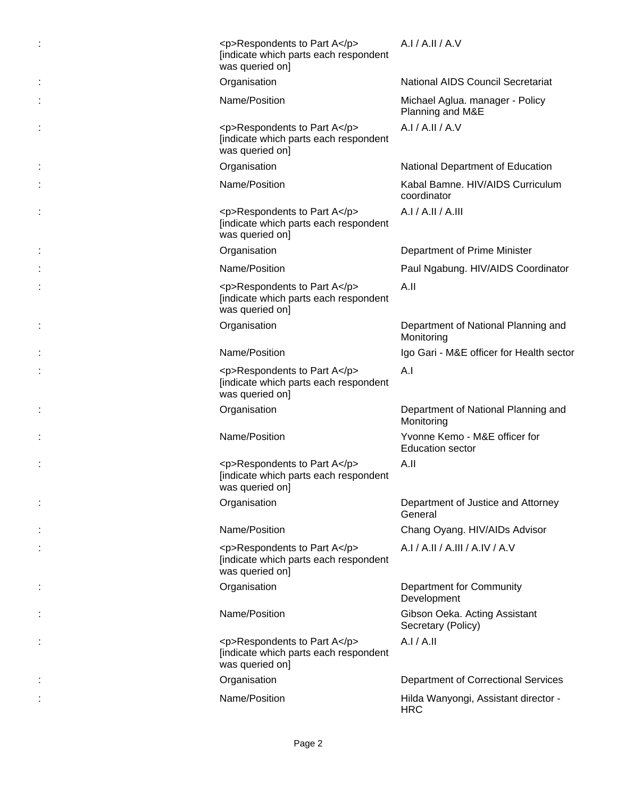| <p>Respondents to Part A</p><br>[indicate which parts each respondent<br>was queried on] | A.I / A.II / A.V                                         |
|------------------------------------------------------------------------------------------|----------------------------------------------------------|
| Organisation                                                                             | <b>National AIDS Council Secretariat</b>                 |
| Name/Position                                                                            | Michael Aglua. manager - Policy<br>Planning and M&E      |
| <p>Respondents to Part A</p><br>[indicate which parts each respondent<br>was queried on] | A.I / A.II / A.V                                         |
| Organisation                                                                             | National Department of Education                         |
| Name/Position                                                                            | Kabal Bamne. HIV/AIDS Curriculum<br>coordinator          |
| <p>Respondents to Part A</p><br>[indicate which parts each respondent<br>was queried on] | A.I / A.II / A.III                                       |
| Organisation                                                                             | Department of Prime Minister                             |
| Name/Position                                                                            | Paul Ngabung. HIV/AIDS Coordinator                       |
| <p>Respondents to Part A</p><br>[indicate which parts each respondent<br>was queried on] | A.II                                                     |
| Organisation                                                                             | Department of National Planning and<br>Monitoring        |
| Name/Position                                                                            | Igo Gari - M&E officer for Health sector                 |
| <p>Respondents to Part A</p><br>[indicate which parts each respondent<br>was queried on] | A.I                                                      |
| Organisation                                                                             | Department of National Planning and<br>Monitoring        |
| Name/Position                                                                            | Yvonne Kemo - M&E officer for<br><b>Education sector</b> |
| <p>Respondents to Part A</p><br>[indicate which parts each respondent<br>was queried on] | A.II                                                     |
| Organisation                                                                             | Department of Justice and Attorney<br>General            |
| Name/Position                                                                            | Chang Oyang. HIV/AIDs Advisor                            |
| <p>Respondents to Part A</p><br>[indicate which parts each respondent<br>was queried on] | A.I / A.II / A.III / A.IV / A.V                          |
| Organisation                                                                             | Department for Community<br>Development                  |
| Name/Position                                                                            | Gibson Oeka. Acting Assistant<br>Secretary (Policy)      |
| <p>Respondents to Part A</p><br>[indicate which parts each respondent<br>was queried on] | A.I/A.II                                                 |
| Organisation                                                                             | <b>Department of Correctional Services</b>               |
| Name/Position                                                                            | Hilda Wanyongi, Assistant director -<br><b>HRC</b>       |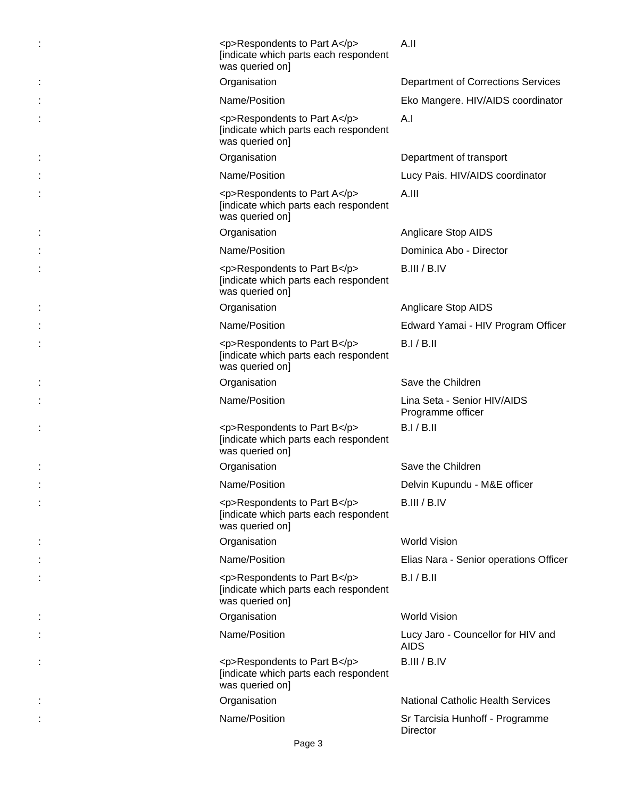| <p>Respondents to Part A</p><br>[indicate which parts each respondent<br>was queried on] | A.II                                              |
|------------------------------------------------------------------------------------------|---------------------------------------------------|
| Organisation                                                                             | <b>Department of Corrections Services</b>         |
| Name/Position                                                                            | Eko Mangere. HIV/AIDS coordinator                 |
| <p>Respondents to Part A</p><br>[indicate which parts each respondent<br>was queried on] | A.I                                               |
| Organisation                                                                             | Department of transport                           |
| Name/Position                                                                            | Lucy Pais. HIV/AIDS coordinator                   |
| <p>Respondents to Part A</p><br>[indicate which parts each respondent<br>was queried on] | A.III                                             |
| Organisation                                                                             | Anglicare Stop AIDS                               |
| Name/Position                                                                            | Dominica Abo - Director                           |
| <p>Respondents to Part B</p><br>[indicate which parts each respondent<br>was queried on] | B.III / B.IV                                      |
| Organisation                                                                             | Anglicare Stop AIDS                               |
| Name/Position                                                                            | Edward Yamai - HIV Program Officer                |
| <p>Respondents to Part B</p><br>[indicate which parts each respondent<br>was queried on] | B.I/B.II                                          |
| Organisation                                                                             | Save the Children                                 |
| Name/Position                                                                            | Lina Seta - Senior HIV/AIDS<br>Programme officer  |
| <p>Respondents to Part B</p><br>[indicate which parts each respondent<br>was queried on] | B.I/B.II                                          |
| Organisation                                                                             | Save the Children                                 |
| Name/Position                                                                            | Delvin Kupundu - M&E officer                      |
| <p>Respondents to Part B</p><br>[indicate which parts each respondent<br>was queried on] | B.III / B.IV                                      |
| Organisation                                                                             | <b>World Vision</b>                               |
| Name/Position                                                                            | Elias Nara - Senior operations Officer            |
| <p>Respondents to Part B</p><br>[indicate which parts each respondent<br>was queried on] | B.I/B.II                                          |
| Organisation                                                                             | <b>World Vision</b>                               |
| Name/Position                                                                            | Lucy Jaro - Councellor for HIV and<br><b>AIDS</b> |
| <p>Respondents to Part B</p><br>[indicate which parts each respondent<br>was queried on] | B.III / B.IV                                      |
| Organisation                                                                             | <b>National Catholic Health Services</b>          |
| Name/Position                                                                            | Sr Tarcisia Hunhoff - Programme<br>Director       |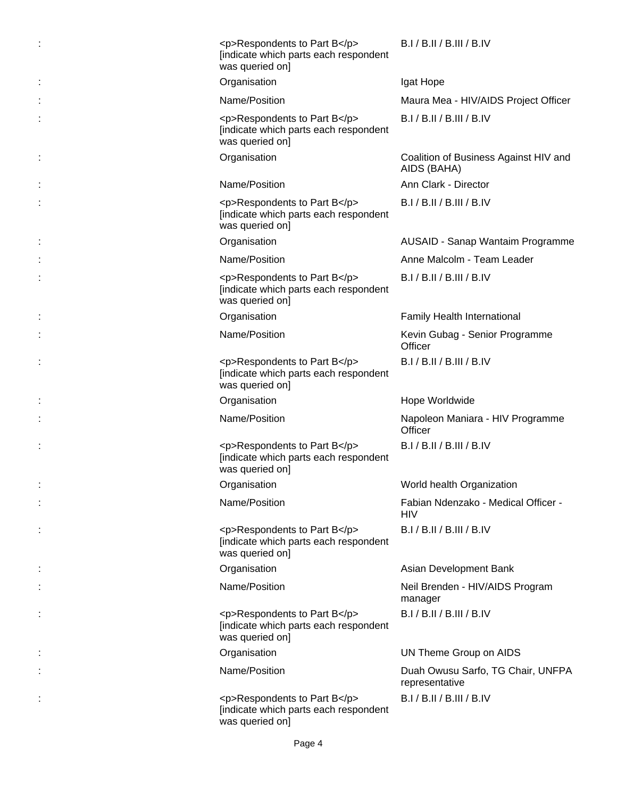| <p>Respondents to Part B</p><br>[indicate which parts each respondent<br>was queried on] | B.I / B.II / B.III / B.IV                            |
|------------------------------------------------------------------------------------------|------------------------------------------------------|
| Organisation                                                                             | Igat Hope                                            |
| Name/Position                                                                            | Maura Mea - HIV/AIDS Project Officer                 |
| <p>Respondents to Part B</p><br>[indicate which parts each respondent<br>was queried on] | B.I / B.II / B.III / B.IV                            |
| Organisation                                                                             | Coalition of Business Against HIV and<br>AIDS (BAHA) |
| Name/Position                                                                            | Ann Clark - Director                                 |
| <p>Respondents to Part B</p><br>[indicate which parts each respondent<br>was queried on] | B.I / B.II / B.III / B.IV                            |
| Organisation                                                                             | AUSAID - Sanap Wantaim Programme                     |
| Name/Position                                                                            | Anne Malcolm - Team Leader                           |
| <p>Respondents to Part B</p><br>[indicate which parts each respondent<br>was queried on] | B.I / B.II / B.III / B.IV                            |
| Organisation                                                                             | Family Health International                          |
| Name/Position                                                                            | Kevin Gubag - Senior Programme<br>Officer            |
| <p>Respondents to Part B</p><br>[indicate which parts each respondent<br>was queried on] | B.I / B.II / B.III / B.IV                            |
| Organisation                                                                             | Hope Worldwide                                       |
| Name/Position                                                                            | Napoleon Maniara - HIV Programme<br>Officer          |
| <p>Respondents to Part B</p><br>[indicate which parts each respondent<br>was queried on] | B.I / B.II / B.III / B.IV                            |
| Organisation                                                                             | World health Organization                            |
| Name/Position                                                                            | Fabian Ndenzako - Medical Officer -<br><b>HIV</b>    |
| <p>Respondents to Part B</p><br>[indicate which parts each respondent<br>was queried on] | B.I / B.II / B.III / B.IV                            |
| Organisation                                                                             | Asian Development Bank                               |
| Name/Position                                                                            | Neil Brenden - HIV/AIDS Program<br>manager           |
| <p>Respondents to Part B</p><br>[indicate which parts each respondent<br>was queried on] | B.I / B.II / B.III / B.IV                            |
| Organisation                                                                             | UN Theme Group on AIDS                               |
| Name/Position                                                                            | Duah Owusu Sarfo, TG Chair, UNFPA<br>representative  |
| <p>Respondents to Part B</p><br>[indicate which parts each respondent<br>was queried on] | B.I / B.II / B.III / B.IV                            |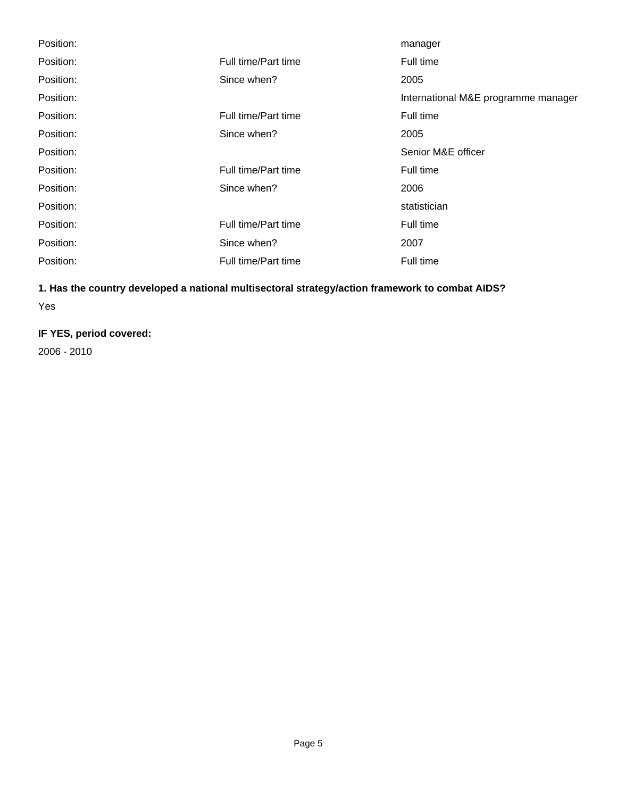| Position: |                     | manager                             |
|-----------|---------------------|-------------------------------------|
| Position: | Full time/Part time | Full time                           |
| Position: | Since when?         | 2005                                |
| Position: |                     | International M&E programme manager |
| Position: | Full time/Part time | Full time                           |
| Position: | Since when?         | 2005                                |
| Position: |                     | Senior M&E officer                  |
| Position: | Full time/Part time | Full time                           |
| Position: | Since when?<br>2006 |                                     |
| Position: |                     | statistician                        |
| Position: | Full time/Part time | Full time                           |
| Position: | Since when?         | 2007                                |
| Position: | Full time/Part time | Full time                           |

# **1. Has the country developed a national multisectoral strategy/action framework to combat AIDS?**

Yes

# **IF YES, period covered:**

2006 - 2010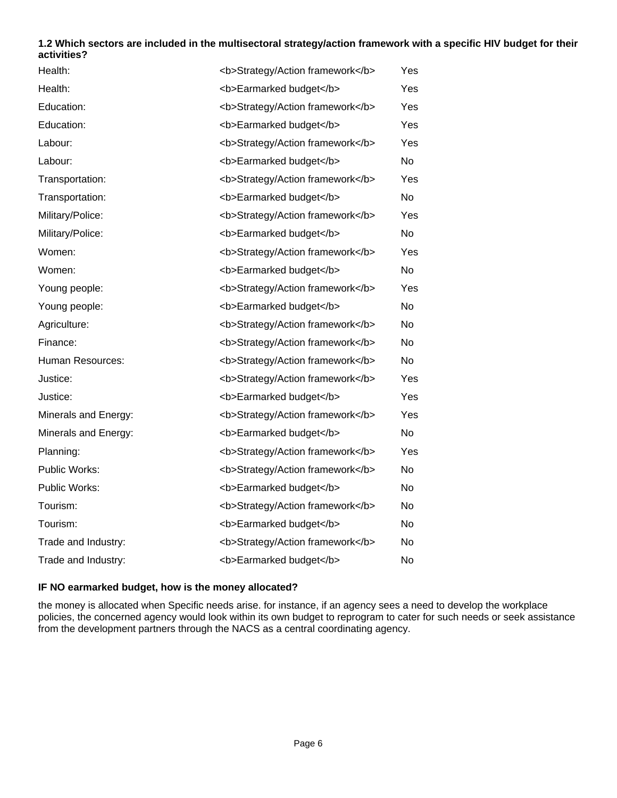#### **1.2 Which sectors are included in the multisectoral strategy/action framework with a specific HIV budget for their activities?**

| Health:              | <b>Strategy/Action framework</b> | Yes            |
|----------------------|----------------------------------|----------------|
| Health:              | <b>Earmarked budget</b>          | Yes            |
| Education:           | <b>Strategy/Action framework</b> | Yes            |
| Education:           | <b>Earmarked budget</b>          | Yes            |
| Labour:              | <b>Strategy/Action framework</b> | Yes            |
| Labour:              | <b>Earmarked budget</b>          | No             |
| Transportation:      | <b>Strategy/Action framework</b> | Yes            |
| Transportation:      | <b>Earmarked budget</b>          | No             |
| Military/Police:     | <b>Strategy/Action framework</b> | Yes            |
| Military/Police:     | <b>Earmarked budget</b>          | No             |
| Women:               | <b>Strategy/Action framework</b> | Yes            |
| Women:               | <b>Earmarked budget</b>          | No             |
| Young people:        | <b>Strategy/Action framework</b> | Yes            |
| Young people:        | <b>Earmarked budget</b>          | N <sub>0</sub> |
| Agriculture:         | <b>Strategy/Action framework</b> | No.            |
| Finance:             | <b>Strategy/Action framework</b> | No.            |
| Human Resources:     | <b>Strategy/Action framework</b> | <b>No</b>      |
| Justice:             | <b>Strategy/Action framework</b> | Yes            |
| Justice:             | <b>Earmarked budget</b>          | Yes            |
| Minerals and Energy: | <b>Strategy/Action framework</b> | Yes            |
| Minerals and Energy: | <b>Earmarked budget</b>          | No             |
| Planning:            | <b>Strategy/Action framework</b> | Yes            |
| Public Works:        | <b>Strategy/Action framework</b> | <b>No</b>      |
| Public Works:        | <b>Earmarked budget</b>          | No             |
| Tourism:             | <b>Strategy/Action framework</b> | No.            |
| Tourism:             | <b>Earmarked budget</b>          | No             |
| Trade and Industry:  | <b>Strategy/Action framework</b> | No             |
| Trade and Industry:  | <b>Earmarked budget</b>          | No             |

#### **IF NO earmarked budget, how is the money allocated?**

the money is allocated when Specific needs arise. for instance, if an agency sees a need to develop the workplace policies, the concerned agency would look within its own budget to reprogram to cater for such needs or seek assistance from the development partners through the NACS as a central coordinating agency.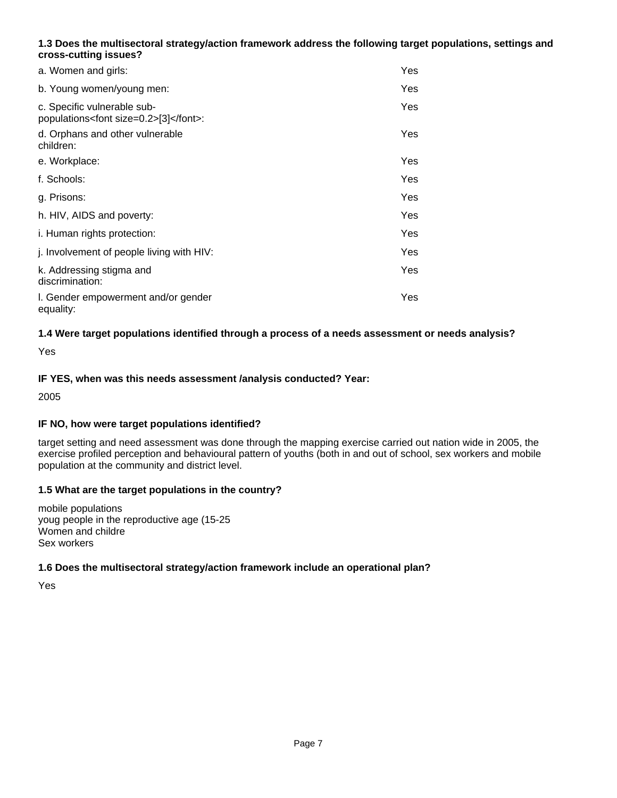# **1.3 Does the multisectoral strategy/action framework address the following target populations, settings and cross-cutting issues?**

| a. Women and girls:                                                      | Yes |
|--------------------------------------------------------------------------|-----|
| b. Young women/young men:                                                | Yes |
| c. Specific vulnerable sub-<br>populations <font size="0.2">[3]</font> : | Yes |
| d. Orphans and other vulnerable<br>children:                             | Yes |
| e. Workplace:                                                            | Yes |
| f. Schools:                                                              | Yes |
| g. Prisons:                                                              | Yes |
| h. HIV, AIDS and poverty:                                                | Yes |
| i. Human rights protection:                                              | Yes |
| j. Involvement of people living with HIV:                                | Yes |
| k. Addressing stigma and<br>discrimination:                              | Yes |
| I. Gender empowerment and/or gender<br>equality:                         | Yes |

# **1.4 Were target populations identified through a process of a needs assessment or needs analysis?**

Yes

# **IF YES, when was this needs assessment /analysis conducted? Year:**

2005

#### **IF NO, how were target populations identified?**

target setting and need assessment was done through the mapping exercise carried out nation wide in 2005, the exercise profiled perception and behavioural pattern of youths (both in and out of school, sex workers and mobile population at the community and district level.

#### **1.5 What are the target populations in the country?**

mobile populations youg people in the reproductive age (15-25 Women and childre Sex workers

#### **1.6 Does the multisectoral strategy/action framework include an operational plan?**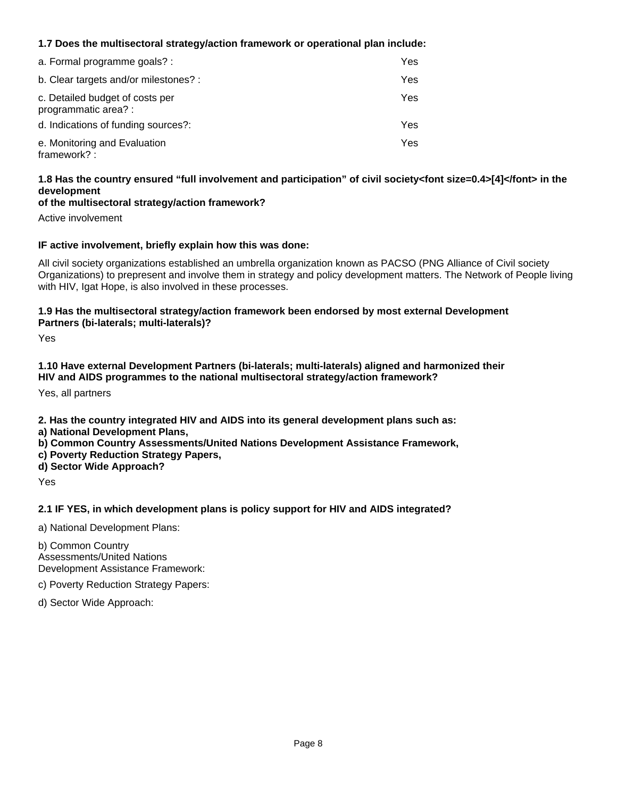# **1.7 Does the multisectoral strategy/action framework or operational plan include:**

| a. Formal programme goals? :                            | Yes. |
|---------------------------------------------------------|------|
| b. Clear targets and/or milestones? :                   | Yes. |
| c. Detailed budget of costs per<br>programmatic area? : | Yes. |
| d. Indications of funding sources?:                     | Yes. |
| e. Monitoring and Evaluation<br>framework?:             | Yes. |

# **1.8 Has the country ensured "full involvement and participation" of civil society<font size=0.4>[4]</font> in the development**

#### **of the multisectoral strategy/action framework?**

Active involvement

#### **IF active involvement, briefly explain how this was done:**

All civil society organizations established an umbrella organization known as PACSO (PNG Alliance of Civil society Organizations) to prepresent and involve them in strategy and policy development matters. The Network of People living with HIV, Igat Hope, is also involved in these processes.

#### **1.9 Has the multisectoral strategy/action framework been endorsed by most external Development Partners (bi-laterals; multi-laterals)?**

Yes

#### **1.10 Have external Development Partners (bi-laterals; multi-laterals) aligned and harmonized their HIV and AIDS programmes to the national multisectoral strategy/action framework?**

Yes, all partners

**2. Has the country integrated HIV and AIDS into its general development plans such as:** 

- **a) National Development Plans,**
- **b) Common Country Assessments/United Nations Development Assistance Framework,**
- **c) Poverty Reduction Strategy Papers,**
- **d) Sector Wide Approach?**

Yes

#### **2.1 IF YES, in which development plans is policy support for HIV and AIDS integrated?**

a) National Development Plans:

b) Common Country Assessments/United Nations Development Assistance Framework:

c) Poverty Reduction Strategy Papers:

d) Sector Wide Approach: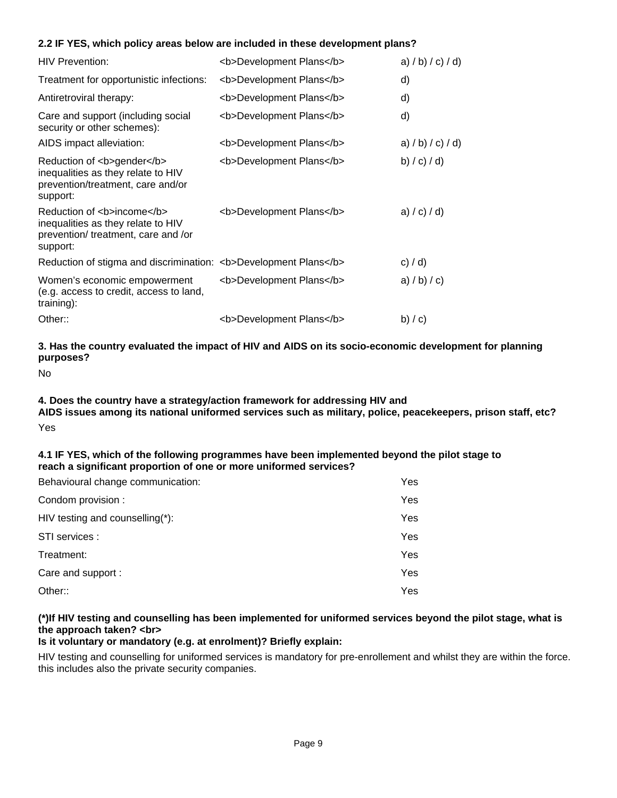#### **2.2 IF YES, which policy areas below are included in these development plans?**

| <b>HIV Prevention:</b>                                                                                              | <b>Development Plans</b> | a) $/b$ ) $/c$ ) $/d$ ) |
|---------------------------------------------------------------------------------------------------------------------|--------------------------|-------------------------|
| Treatment for opportunistic infections:                                                                             | <b>Development Plans</b> | d)                      |
| Antiretroviral therapy:                                                                                             | <b>Development Plans</b> | d)                      |
| Care and support (including social<br>security or other schemes):                                                   | <b>Development Plans</b> | d)                      |
| AIDS impact alleviation:                                                                                            | <b>Development Plans</b> | a) $/b$ ) $/c$ ) $/d$ ) |
| Reduction of <b>gender</b><br>inequalities as they relate to HIV<br>prevention/treatment, care and/or<br>support:   | <b>Development Plans</b> | b) $/c$ ) $/d$ )        |
| Reduction of <b>income</b><br>inequalities as they relate to HIV<br>prevention/ treatment, care and /or<br>support: | <b>Development Plans</b> | a) / c) / d)            |
| Reduction of stigma and discrimination: <b>Development Plans</b>                                                    |                          | c) $/$ d)               |
| Women's economic empowerment<br>(e.g. access to credit, access to land,<br>training):                               | <b>Development Plans</b> | a) $/b$ ) $/c$ )        |
| Other::                                                                                                             | <b>Development Plans</b> | b) $\prime$ c)          |

#### **3. Has the country evaluated the impact of HIV and AIDS on its socio-economic development for planning purposes?**

No

#### **4. Does the country have a strategy/action framework for addressing HIV and**

**AIDS issues among its national uniformed services such as military, police, peacekeepers, prison staff, etc?** Yes

#### **4.1 IF YES, which of the following programmes have been implemented beyond the pilot stage to reach a significant proportion of one or more uniformed services?**

| Behavioural change communication: | Yes |
|-----------------------------------|-----|
| Condom provision :                | Yes |
| HIV testing and counselling(*):   | Yes |
| STI services :                    | Yes |
| Treatment:                        | Yes |
| Care and support :                | Yes |
| Other::                           | Yes |

# **(\*)If HIV testing and counselling has been implemented for uniformed services beyond the pilot stage, what is the approach taken? <br>**

#### **Is it voluntary or mandatory (e.g. at enrolment)? Briefly explain:**

HIV testing and counselling for uniformed services is mandatory for pre-enrollement and whilst they are within the force. this includes also the private security companies.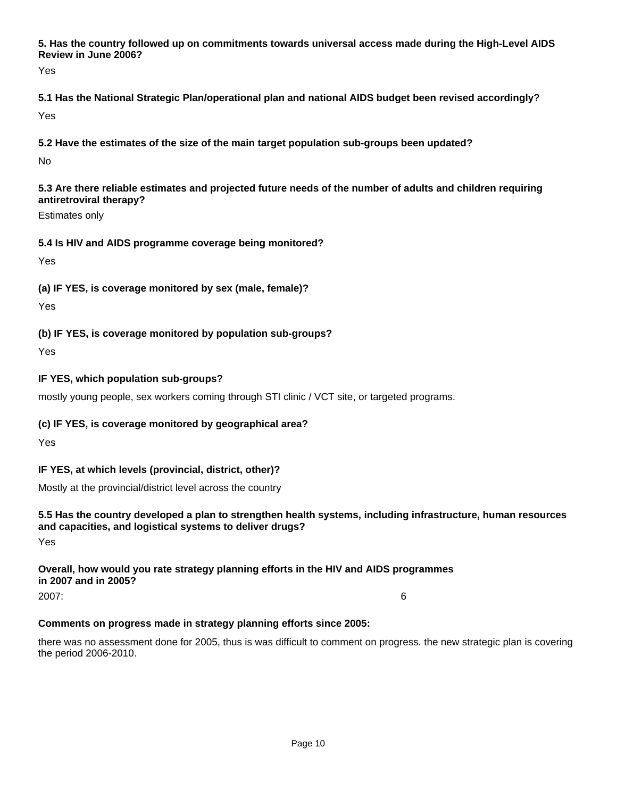**5. Has the country followed up on commitments towards universal access made during the High-Level AIDS Review in June 2006?**

Yes

**5.1 Has the National Strategic Plan/operational plan and national AIDS budget been revised accordingly?** Yes

**5.2 Have the estimates of the size of the main target population sub-groups been updated?**

No

**5.3 Are there reliable estimates and projected future needs of the number of adults and children requiring antiretroviral therapy?**

Estimates only

# **5.4 Is HIV and AIDS programme coverage being monitored?**

Yes

# **(a) IF YES, is coverage monitored by sex (male, female)?**

Yes

**(b) IF YES, is coverage monitored by population sub-groups?**

Yes

# **IF YES, which population sub-groups?**

mostly young people, sex workers coming through STI clinic / VCT site, or targeted programs.

# **(c) IF YES, is coverage monitored by geographical area?**

Yes

# **IF YES, at which levels (provincial, district, other)?**

Mostly at the provincial/district level across the country

# **5.5 Has the country developed a plan to strengthen health systems, including infrastructure, human resources and capacities, and logistical systems to deliver drugs?**

Yes

# **Overall, how would you rate strategy planning efforts in the HIV and AIDS programmes in 2007 and in 2005?**

2007: 6

# **Comments on progress made in strategy planning efforts since 2005:**

there was no assessment done for 2005, thus is was difficult to comment on progress. the new strategic plan is covering the period 2006-2010.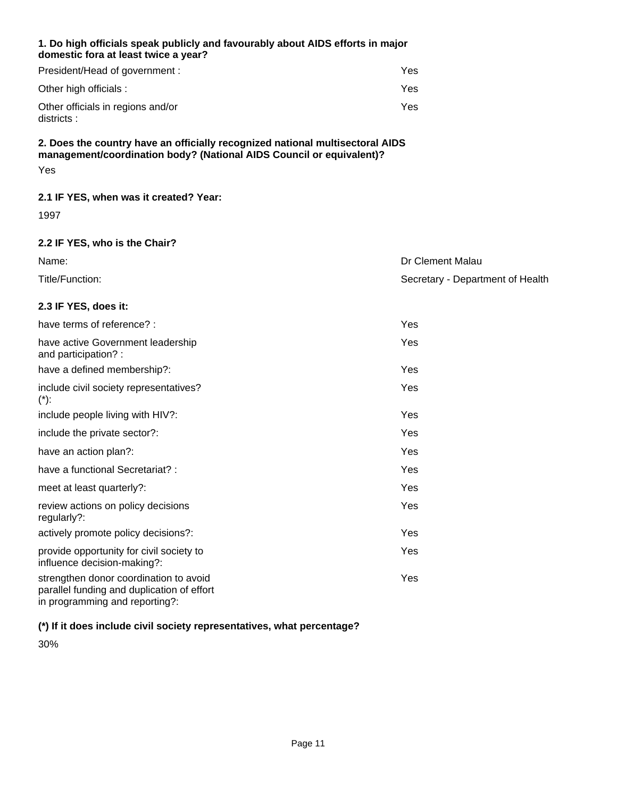#### **1. Do high officials speak publicly and favourably about AIDS efforts in major domestic fora at least twice a year?**

| President/Head of government :                  | Yes |
|-------------------------------------------------|-----|
| Other high officials :                          | Yes |
| Other officials in regions and/or<br>districts: | Yes |

## **2. Does the country have an officially recognized national multisectoral AIDS management/coordination body? (National AIDS Council or equivalent)?** Yes

# **2.1 IF YES, when was it created? Year:**

1997

# **2.2 IF YES, who is the Chair?**

| Name:           | Dr Clement Malau                 |
|-----------------|----------------------------------|
| Title/Function: | Secretary - Department of Health |

# **2.3 IF YES, does it:**

| have terms of reference? :                                                                                             | Yes        |
|------------------------------------------------------------------------------------------------------------------------|------------|
| have active Government leadership<br>and participation?:                                                               | Yes        |
| have a defined membership?:                                                                                            | Yes        |
| include civil society representatives?<br>$(*)$ :                                                                      | Yes        |
| include people living with HIV?:                                                                                       | Yes        |
| include the private sector?:                                                                                           | Yes        |
| have an action plan?:                                                                                                  | Yes        |
| have a functional Secretariat? :                                                                                       | Yes        |
| meet at least quarterly?:                                                                                              | Yes.       |
| review actions on policy decisions<br>regularly?:                                                                      | Yes        |
| actively promote policy decisions?:                                                                                    | Yes.       |
| provide opportunity for civil society to<br>influence decision-making?:                                                | Yes        |
| strengthen donor coordination to avoid<br>parallel funding and duplication of effort<br>in programming and reporting?: | <b>Yes</b> |

# **(\*) If it does include civil society representatives, what percentage?**

30%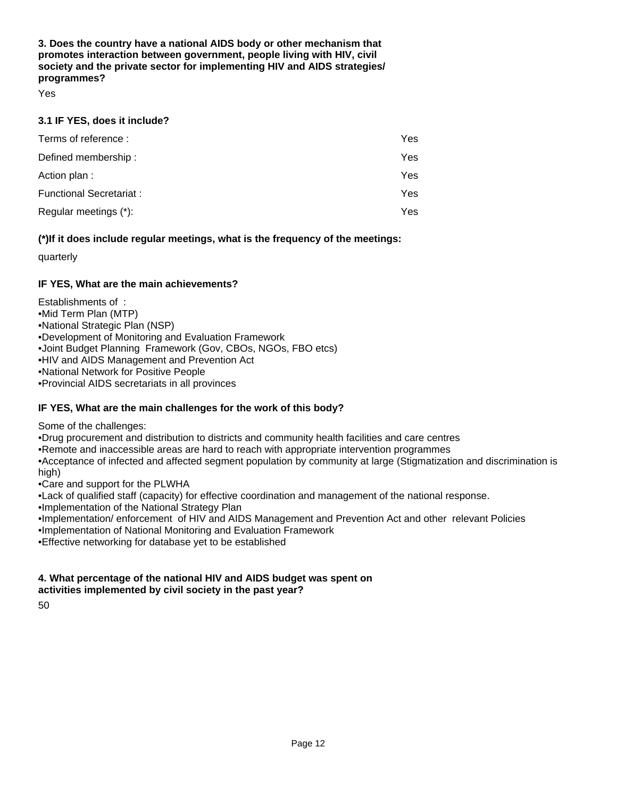**3. Does the country have a national AIDS body or other mechanism that promotes interaction between government, people living with HIV, civil society and the private sector for implementing HIV and AIDS strategies/ programmes?**

Yes

#### **3.1 IF YES, does it include?**

| Terms of reference:      | Yes |
|--------------------------|-----|
| Defined membership:      | Yes |
| Action plan:             | Yes |
| Functional Secretariat : | Yes |
| Regular meetings (*):    | Yes |

#### **(\*)If it does include regular meetings, what is the frequency of the meetings:**

quarterly

# **IF YES, What are the main achievements?**

Establishments of :

- • Mid Term Plan (MTP)
- National Strategic Plan (NSP)
- • Development of Monitoring and Evaluation Framework
- Joint Budget Planning Framework (Gov, CBOs, NGOs, FBO etcs)
- HIV and AIDS Management and Prevention Act
- • National Network for Positive People
- Provincial AIDS secretariats in all provinces

# **IF YES, What are the main challenges for the work of this body?**

Some of the challenges:

- • Drug procurement and distribution to districts and community health facilities and care centres
- Remote and inaccessible areas are hard to reach with appropriate intervention programmes

• Acceptance of infected and affected segment population by community at large (Stigmatization and discrimination is high)

- Care and support for the PLWHA
- • Lack of qualified staff (capacity) for effective coordination and management of the national response.
- Implementation of the National Strategy Plan
- • Implementation/ enforcement of HIV and AIDS Management and Prevention Act and other relevant Policies
- Implementation of National Monitoring and Evaluation Framework
- Effective networking for database yet to be established

#### **4. What percentage of the national HIV and AIDS budget was spent on activities implemented by civil society in the past year?**

50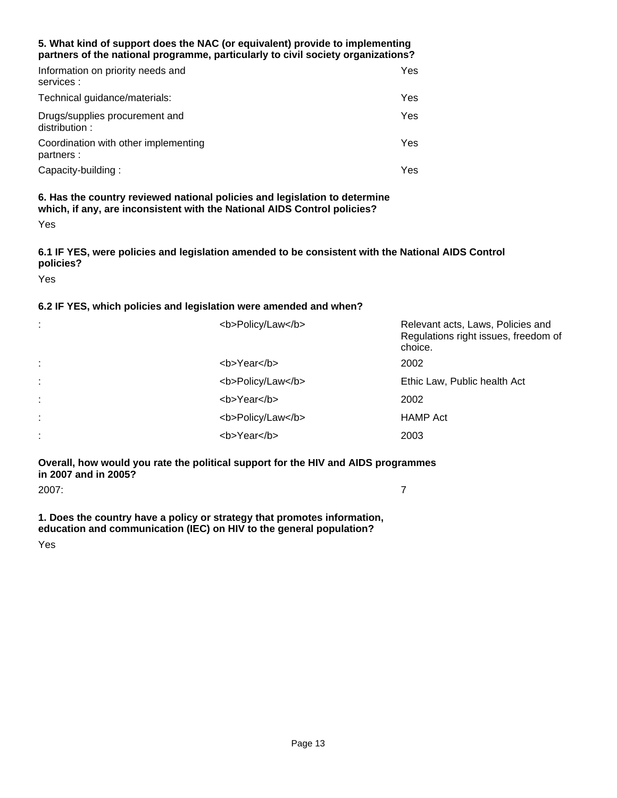#### **5. What kind of support does the NAC (or equivalent) provide to implementing partners of the national programme, particularly to civil society organizations?**

| Information on priority needs and<br>services :    | Yes. |
|----------------------------------------------------|------|
| Technical guidance/materials:                      | Yes. |
| Drugs/supplies procurement and<br>distribution:    | Yes. |
| Coordination with other implementing<br>partners : | Yes. |
| Capacity-building:                                 | Yes. |

#### **6. Has the country reviewed national policies and legislation to determine which, if any, are inconsistent with the National AIDS Control policies?** Yes

## **6.1 IF YES, were policies and legislation amended to be consistent with the National AIDS Control policies?**

Yes

#### **6.2 IF YES, which policies and legislation were amended and when?**

| ÷ | <b>Policy/Law</b> | Relevant acts, Laws, Policies and<br>Regulations right issues, freedom of<br>choice. |
|---|-------------------|--------------------------------------------------------------------------------------|
| ÷ | <b>Year</b>       | 2002                                                                                 |
| ÷ | <b>Policy/Law</b> | Ethic Law, Public health Act                                                         |
| ÷ | <b>Year</b>       | 2002                                                                                 |
| ÷ | <b>Policy/Law</b> | <b>HAMP Act</b>                                                                      |
| ÷ | <b>Year</b>       | 2003                                                                                 |

**Overall, how would you rate the political support for the HIV and AIDS programmes in 2007 and in 2005?**

2007: 7

**1. Does the country have a policy or strategy that promotes information, education and communication (IEC) on HIV to the general population?**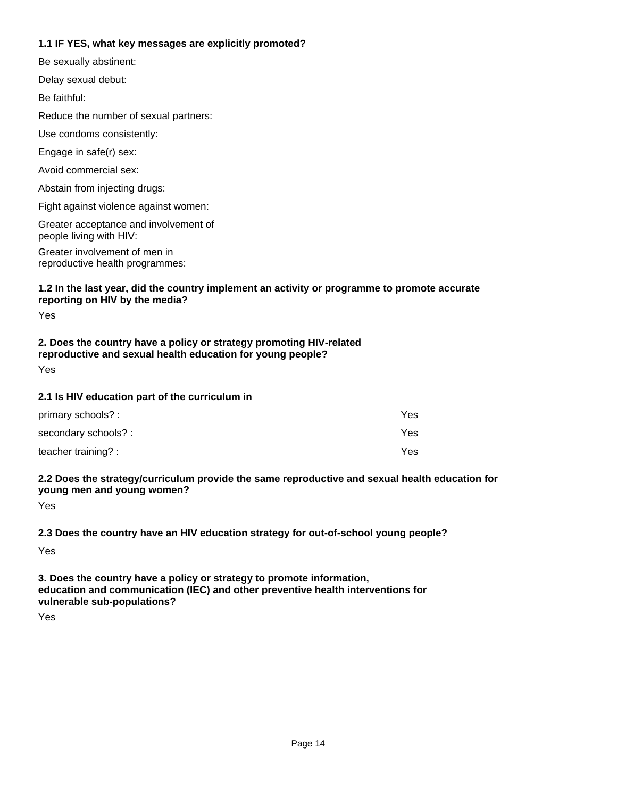## **1.1 IF YES, what key messages are explicitly promoted?**

Abstain from injecting drugs: Avoid commercial sex: Fight against violence against women: Greater involvement of men in reproductive health programmes: Greater acceptance and involvement of people living with HIV: Engage in safe(r) sex: Delay sexual debut: Be sexually abstinent: Be faithful: Use condoms consistently: Reduce the number of sexual partners:

#### **1.2 In the last year, did the country implement an activity or programme to promote accurate reporting on HIV by the media?**

Yes

# **2. Does the country have a policy or strategy promoting HIV-related reproductive and sexual health education for young people?**

Yes

#### **2.1 Is HIV education part of the curriculum in**

| primary schools? :   | Yes |
|----------------------|-----|
| secondary schools? : | Yes |
| teacher training? :  | Yes |

#### **2.2 Does the strategy/curriculum provide the same reproductive and sexual health education for young men and young women?**

Yes

#### **2.3 Does the country have an HIV education strategy for out-of-school young people?**

Yes

**3. Does the country have a policy or strategy to promote information, education and communication (IEC) and other preventive health interventions for vulnerable sub-populations?**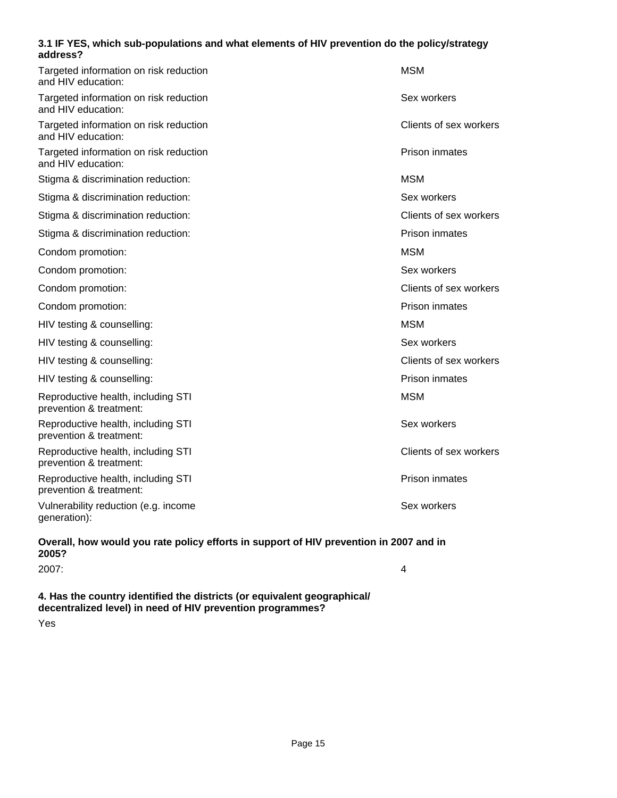#### **3.1 IF YES, which sub-populations and what elements of HIV prevention do the policy/strategy address?**

| Targeted information on risk reduction<br>and HIV education:                           | <b>MSM</b>             |
|----------------------------------------------------------------------------------------|------------------------|
| Targeted information on risk reduction<br>and HIV education:                           | Sex workers            |
| Targeted information on risk reduction<br>and HIV education:                           | Clients of sex workers |
| Targeted information on risk reduction<br>and HIV education:                           | Prison inmates         |
| Stigma & discrimination reduction:                                                     | MSM                    |
| Stigma & discrimination reduction:                                                     | Sex workers            |
| Stigma & discrimination reduction:                                                     | Clients of sex workers |
| Stigma & discrimination reduction:                                                     | Prison inmates         |
| Condom promotion:                                                                      | <b>MSM</b>             |
| Condom promotion:                                                                      | Sex workers            |
| Condom promotion:                                                                      | Clients of sex workers |
| Condom promotion:                                                                      | Prison inmates         |
| HIV testing & counselling:                                                             | <b>MSM</b>             |
| HIV testing & counselling:                                                             | Sex workers            |
| HIV testing & counselling:                                                             | Clients of sex workers |
| HIV testing & counselling:                                                             | Prison inmates         |
| Reproductive health, including STI<br>prevention & treatment:                          | <b>MSM</b>             |
| Reproductive health, including STI<br>prevention & treatment:                          | Sex workers            |
| Reproductive health, including STI<br>prevention & treatment:                          | Clients of sex workers |
| Reproductive health, including STI<br>prevention & treatment:                          | Prison inmates         |
| Vulnerability reduction (e.g. income<br>generation):                                   | Sex workers            |
| Overall, how would you rate policy efforts in support of HIV prevention in 2007 and in |                        |

# **2005?**

| 2007:                                                                                                                                |  |
|--------------------------------------------------------------------------------------------------------------------------------------|--|
|                                                                                                                                      |  |
| $\bm{A}$ . The end of the company of the stability of the substantial $\bm{I}$ and contract the company of the stability of $\bm{I}$ |  |

**4. Has the country identified the districts (or equivalent geographical/ decentralized level) in need of HIV prevention programmes?**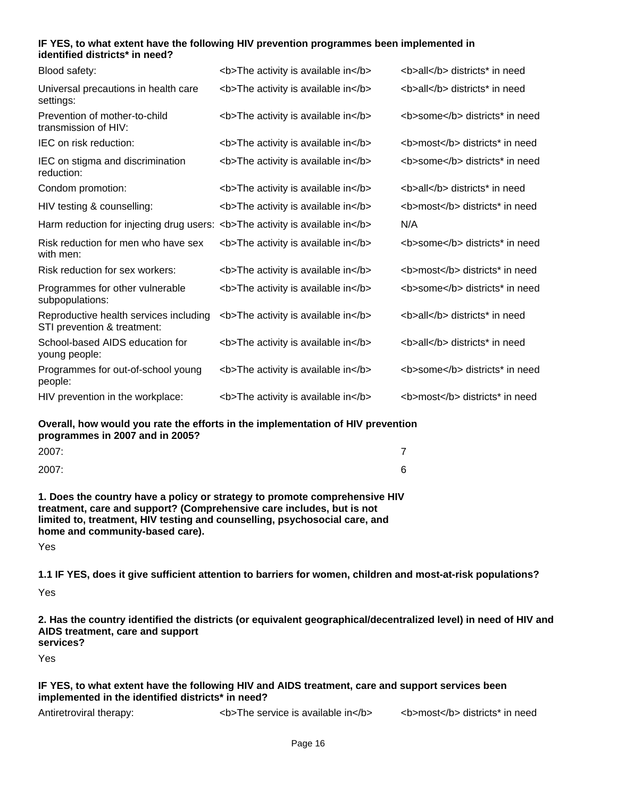#### **IF YES, to what extent have the following HIV prevention programmes been implemented in identified districts\* in need?**

| Blood safety:                                                                | <b>The activity is available in</b>                                             | <b>all</b> districts* in need  |
|------------------------------------------------------------------------------|---------------------------------------------------------------------------------|--------------------------------|
| Universal precautions in health care<br>settings:                            | <b>The activity is available in</b>                                             | <b>all</b> districts* in need  |
| Prevention of mother-to-child<br>transmission of HIV:                        | <b>The activity is available in</b>                                             | <b>some</b> districts* in need |
| IEC on risk reduction:                                                       | <b>The activity is available in</b>                                             | <b>most</b> districts* in need |
| IEC on stigma and discrimination<br>reduction:                               | <b>The activity is available in</b>                                             | <b>some</b> districts* in need |
| Condom promotion:                                                            | <b>The activity is available in</b>                                             | <b>all</b> districts* in need  |
| HIV testing & counselling:                                                   | <b>The activity is available in</b>                                             | <b>most</b> districts* in need |
| Harm reduction for injecting drug users: <b>The activity is available in</b> |                                                                                 | N/A                            |
| Risk reduction for men who have sex<br>with men:                             | <b>The activity is available in</b>                                             | <b>some</b> districts* in need |
| Risk reduction for sex workers:                                              | <b>The activity is available in</b>                                             | <b>most</b> districts* in need |
| Programmes for other vulnerable<br>subpopulations:                           | <b>The activity is available in</b>                                             | <b>some</b> districts* in need |
| Reproductive health services including<br>STI prevention & treatment:        | <b>The activity is available in</b>                                             | <b>all</b> districts* in need  |
| School-based AIDS education for<br>young people:                             | <b>The activity is available in</b>                                             | <b>all</b> districts* in need  |
| Programmes for out-of-school young<br>people:                                | <b>The activity is available in</b>                                             | <b>some</b> districts* in need |
| HIV prevention in the workplace:                                             | <b>The activity is available in</b>                                             | <b>most</b> districts* in need |
|                                                                              | Overall, how would you rate the efforts in the implementation of HIV prevention |                                |

**Overall, how would you rate the efforts in the implementation of HIV prevention programmes in 2007 and in 2005?**

| 2007: | $\overline{ }$ |
|-------|----------------|
| 2007: | R<br>u         |

**1. Does the country have a policy or strategy to promote comprehensive HIV treatment, care and support? (Comprehensive care includes, but is not limited to, treatment, HIV testing and counselling, psychosocial care, and home and community-based care).**

Yes

**1.1 IF YES, does it give sufficient attention to barriers for women, children and most-at-risk populations?**

Yes

**2. Has the country identified the districts (or equivalent geographical/decentralized level) in need of HIV and AIDS treatment, care and support** 

**services?**

Yes

#### **IF YES, to what extent have the following HIV and AIDS treatment, care and support services been implemented in the identified districts\* in need?**

Antiretroviral therapy: <br>  $\left\langle \text{b} \right\rangle$  The service is available in $\left\langle \text{b} \right\rangle$   $\left\langle \text{b} \right\rangle$  districts\* in need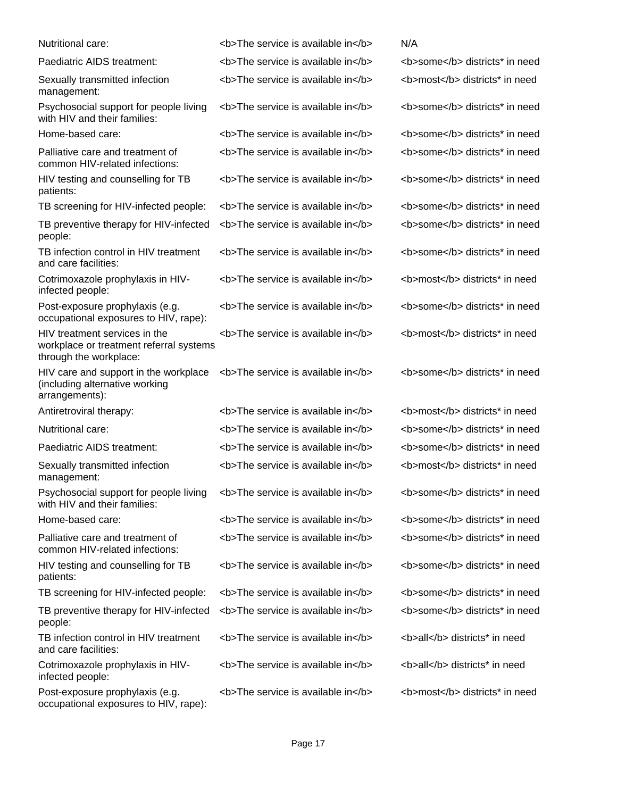| Nutritional care:                                                                                  | <b>The service is available in</b> | N/A                            |
|----------------------------------------------------------------------------------------------------|------------------------------------|--------------------------------|
| Paediatric AIDS treatment:                                                                         | <b>The service is available in</b> | <b>some</b> districts* in need |
| Sexually transmitted infection<br>management:                                                      | <b>The service is available in</b> | <b>most</b> districts* in need |
| Psychosocial support for people living<br>with HIV and their families:                             | <b>The service is available in</b> | <b>some</b> districts* in need |
| Home-based care:                                                                                   | <b>The service is available in</b> | <b>some</b> districts* in need |
| Palliative care and treatment of<br>common HIV-related infections:                                 | <b>The service is available in</b> | <b>some</b> districts* in need |
| HIV testing and counselling for TB<br>patients:                                                    | <b>The service is available in</b> | <b>some</b> districts* in need |
| TB screening for HIV-infected people:                                                              | <b>The service is available in</b> | <b>some</b> districts* in need |
| TB preventive therapy for HIV-infected<br>people:                                                  | <b>The service is available in</b> | <b>some</b> districts* in need |
| TB infection control in HIV treatment<br>and care facilities:                                      | <b>The service is available in</b> | <b>some</b> districts* in need |
| Cotrimoxazole prophylaxis in HIV-<br>infected people:                                              | <b>The service is available in</b> | <b>most</b> districts* in need |
| Post-exposure prophylaxis (e.g.<br>occupational exposures to HIV, rape):                           | <b>The service is available in</b> | <b>some</b> districts* in need |
| HIV treatment services in the<br>workplace or treatment referral systems<br>through the workplace: | <b>The service is available in</b> | <b>most</b> districts* in need |
| HIV care and support in the workplace<br>(including alternative working<br>arrangements):          | <b>The service is available in</b> | <b>some</b> districts* in need |
| Antiretroviral therapy:                                                                            | <b>The service is available in</b> | <b>most</b> districts* in need |
| Nutritional care:                                                                                  | <b>The service is available in</b> | <b>some</b> districts* in need |
| Paediatric AIDS treatment:                                                                         | <b>The service is available in</b> | <b>some</b> districts* in need |
| Sexually transmitted infection<br>management:                                                      | <b>The service is available in</b> | <b>most</b> districts* in need |
| Psychosocial support for people living<br>with HIV and their families:                             | <b>The service is available in</b> | <b>some</b> districts* in need |
| Home-based care:                                                                                   | <b>The service is available in</b> | <b>some</b> districts* in need |
| Palliative care and treatment of<br>common HIV-related infections:                                 | <b>The service is available in</b> | <b>some</b> districts* in need |
| HIV testing and counselling for TB<br>patients:                                                    | <b>The service is available in</b> | <b>some</b> districts* in need |
| TB screening for HIV-infected people:                                                              | <b>The service is available in</b> | <b>some</b> districts* in need |
| TB preventive therapy for HIV-infected<br>people:                                                  | <b>The service is available in</b> | <b>some</b> districts* in need |
| TB infection control in HIV treatment<br>and care facilities:                                      | <b>The service is available in</b> | <b>all</b> districts* in need  |
| Cotrimoxazole prophylaxis in HIV-<br>infected people:                                              | <b>The service is available in</b> | <b>all</b> districts* in need  |
| Post-exposure prophylaxis (e.g.<br>occupational exposures to HIV, rape):                           | <b>The service is available in</b> | <b>most</b> districts* in need |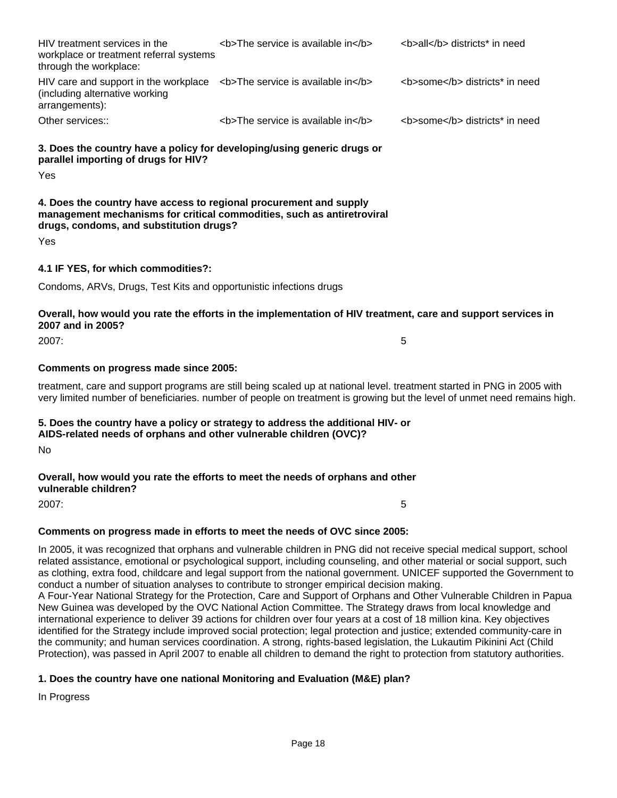Other services::  $\left\langle \text{b} \right\rangle$  The service is available in $\left\langle \text{b} \right\rangle$   $\left\langle \text{b} \right\rangle$  some $\left\langle \text{b} \right\rangle$  districts\* in need HIV care and support in the workplace  $\,$  <b>The service is available in</b> $\,$  <b>some</b> districts\* in need (including alternative working arrangements): HIV treatment services in the workplace or treatment referral systems through the workplace: **The service is available in </b>>>>>>>>>>>>>> <b>>b>all</b></b></b></b></a></b></>
all</b></b></all>>>>></b** 

**3. Does the country have a policy for developing/using generic drugs or parallel importing of drugs for HIV?**

Yes

## **4. Does the country have access to regional procurement and supply management mechanisms for critical commodities, such as antiretroviral drugs, condoms, and substitution drugs?**

Yes

# **4.1 IF YES, for which commodities?:**

Condoms, ARVs, Drugs, Test Kits and opportunistic infections drugs

# **Overall, how would you rate the efforts in the implementation of HIV treatment, care and support services in 2007 and in 2005?**

2007: 5

#### **Comments on progress made since 2005:**

treatment, care and support programs are still being scaled up at national level. treatment started in PNG in 2005 with very limited number of beneficiaries. number of people on treatment is growing but the level of unmet need remains high.

#### **5. Does the country have a policy or strategy to address the additional HIV- or AIDS-related needs of orphans and other vulnerable children (OVC)?**

No

# **Overall, how would you rate the efforts to meet the needs of orphans and other vulnerable children?**

2007: 5

# **Comments on progress made in efforts to meet the needs of OVC since 2005:**

In 2005, it was recognized that orphans and vulnerable children in PNG did not receive special medical support, school related assistance, emotional or psychological support, including counseling, and other material or social support, such as clothing, extra food, childcare and legal support from the national government. UNICEF supported the Government to conduct a number of situation analyses to contribute to stronger empirical decision making.

A Four-Year National Strategy for the Protection, Care and Support of Orphans and Other Vulnerable Children in Papua New Guinea was developed by the OVC National Action Committee. The Strategy draws from local knowledge and international experience to deliver 39 actions for children over four years at a cost of 18 million kina. Key objectives identified for the Strategy include improved social protection; legal protection and justice; extended community-care in the community; and human services coordination. A strong, rights-based legislation, the Lukautim Pikinini Act (Child Protection), was passed in April 2007 to enable all children to demand the right to protection from statutory authorities.

# **1. Does the country have one national Monitoring and Evaluation (M&E) plan?**

In Progress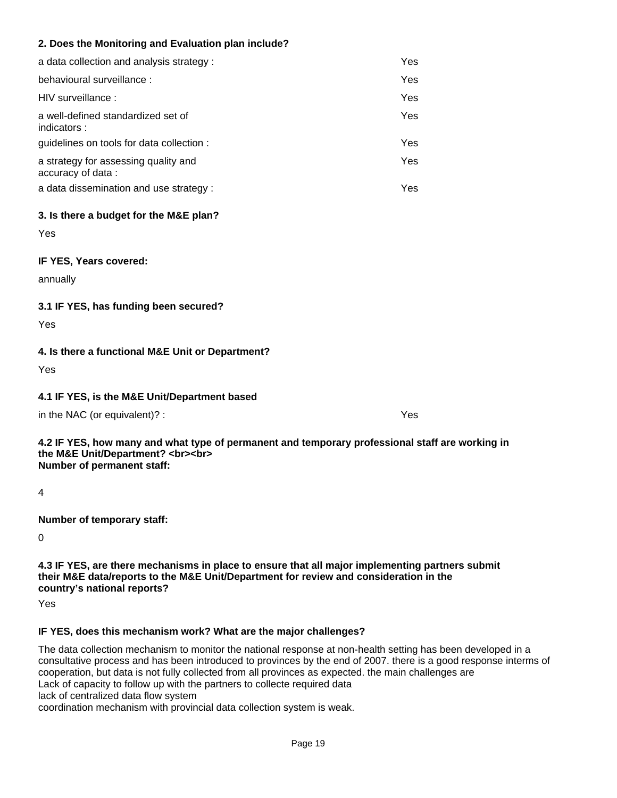# **2. Does the Monitoring and Evaluation plan include?**

| a data collection and analysis strategy :                 | Yes |
|-----------------------------------------------------------|-----|
| behavioural surveillance :                                | Yes |
| HIV surveillance :                                        | Yes |
| a well-defined standardized set of<br>indicators:         | Yes |
| guidelines on tools for data collection :                 | Yes |
| a strategy for assessing quality and<br>accuracy of data: | Yes |
| a data dissemination and use strategy :                   | Yes |

#### **3. Is there a budget for the M&E plan?**

Yes

**IF YES, Years covered:**

annually

#### **3.1 IF YES, has funding been secured?**

Yes

# **4. Is there a functional M&E Unit or Department?**

Yes

#### **4.1 IF YES, is the M&E Unit/Department based**

in the NAC (or equivalent)? : Yes

**4.2 IF YES, how many and what type of permanent and temporary professional staff are working in the M&E Unit/Department? <br><br> Number of permanent staff:**

4

**Number of temporary staff:**

 $\Omega$ 

**4.3 IF YES, are there mechanisms in place to ensure that all major implementing partners submit their M&E data/reports to the M&E Unit/Department for review and consideration in the country's national reports?**

Yes

#### **IF YES, does this mechanism work? What are the major challenges?**

The data collection mechanism to monitor the national response at non-health setting has been developed in a consultative process and has been introduced to provinces by the end of 2007. there is a good response interms of cooperation, but data is not fully collected from all provinces as expected. the main challenges are Lack of capacity to follow up with the partners to collecte required data lack of centralized data flow system

coordination mechanism with provincial data collection system is weak.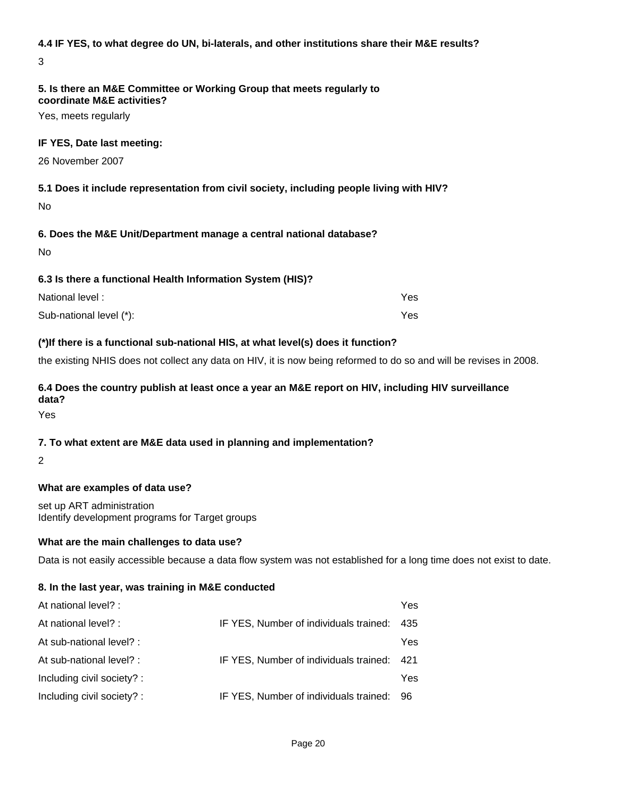#### **4.4 IF YES, to what degree do UN, bi-laterals, and other institutions share their M&E results?**

3

#### **5. Is there an M&E Committee or Working Group that meets regularly to coordinate M&E activities?**

Yes, meets regularly

#### **IF YES, Date last meeting:**

26 November 2007

# **5.1 Does it include representation from civil society, including people living with HIV?**

No

# **6. Does the M&E Unit/Department manage a central national database?**

No

#### **6.3 Is there a functional Health Information System (HIS)?**

| National level:         | Yes. |
|-------------------------|------|
| Sub-national level (*): | Yes. |

#### **(\*)If there is a functional sub-national HIS, at what level(s) does it function?**

the existing NHIS does not collect any data on HIV, it is now being reformed to do so and will be revises in 2008.

#### **6.4 Does the country publish at least once a year an M&E report on HIV, including HIV surveillance data?**

Yes

#### **7. To what extent are M&E data used in planning and implementation?**

2

#### **What are examples of data use?**

set up ART administration Identify development programs for Target groups

#### **What are the main challenges to data use?**

Data is not easily accessible because a data flow system was not established for a long time does not exist to date.

#### **8. In the last year, was training in M&E conducted**

| At national level? :       |                                        | Yes |
|----------------------------|----------------------------------------|-----|
| At national level? :       | IF YES, Number of individuals trained: | 435 |
| At sub-national level? :   |                                        | Yes |
| At sub-national level? :   | IF YES, Number of individuals trained: | 421 |
| Including civil society? : |                                        | Yes |
| Including civil society? : | IF YES, Number of individuals trained: | 96  |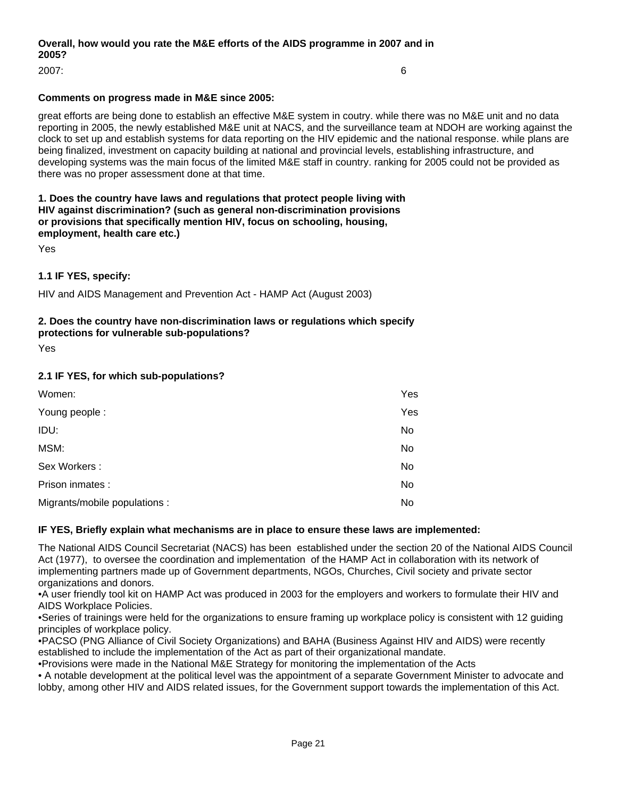## **Overall, how would you rate the M&E efforts of the AIDS programme in 2007 and in 2005?**

2007: 6

#### **Comments on progress made in M&E since 2005:**

great efforts are being done to establish an effective M&E system in coutry. while there was no M&E unit and no data reporting in 2005, the newly established M&E unit at NACS, and the surveillance team at NDOH are working against the clock to set up and establish systems for data reporting on the HIV epidemic and the national response. while plans are being finalized, investment on capacity building at national and provincial levels, establishing infrastructure, and developing systems was the main focus of the limited M&E staff in country. ranking for 2005 could not be provided as there was no proper assessment done at that time.

#### **1. Does the country have laws and regulations that protect people living with HIV against discrimination? (such as general non-discrimination provisions or provisions that specifically mention HIV, focus on schooling, housing, employment, health care etc.)**

Yes

#### **1.1 IF YES, specify:**

HIV and AIDS Management and Prevention Act - HAMP Act (August 2003)

# **2. Does the country have non-discrimination laws or regulations which specify**

**protections for vulnerable sub-populations?**

Yes

#### **2.1 IF YES, for which sub-populations?**

| Women:                        | Yes |
|-------------------------------|-----|
| Young people:                 | Yes |
| IDU:                          | No  |
| MSM:                          | No  |
| Sex Workers:                  | No  |
| Prison inmates :              | No  |
| Migrants/mobile populations : | No  |

#### **IF YES, Briefly explain what mechanisms are in place to ensure these laws are implemented:**

The National AIDS Council Secretariat (NACS) has been established under the section 20 of the National AIDS Council Act (1977), to oversee the coordination and implementation of the HAMP Act in collaboration with its network of implementing partners made up of Government departments, NGOs, Churches, Civil society and private sector organizations and donors.

• A user friendly tool kit on HAMP Act was produced in 2003 for the employers and workers to formulate their HIV and AIDS Workplace Policies.

• Series of trainings were held for the organizations to ensure framing up workplace policy is consistent with 12 guiding principles of workplace policy.

• PACSO (PNG Alliance of Civil Society Organizations) and BAHA (Business Against HIV and AIDS) were recently established to include the implementation of the Act as part of their organizational mandate.

• Provisions were made in the National M&E Strategy for monitoring the implementation of the Acts

• A notable development at the political level was the appointment of a separate Government Minister to advocate and lobby, among other HIV and AIDS related issues, for the Government support towards the implementation of this Act.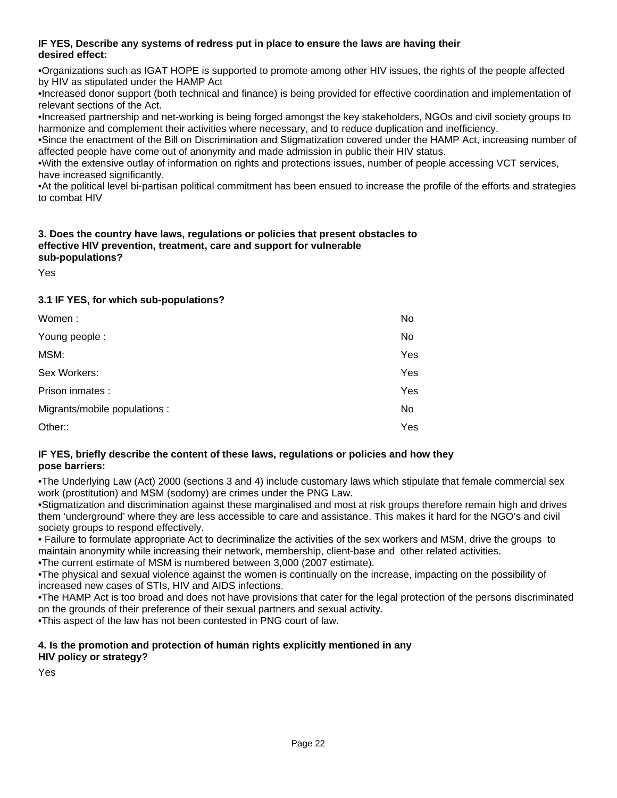#### **IF YES, Describe any systems of redress put in place to ensure the laws are having their desired effect:**

• Organizations such as IGAT HOPE is supported to promote among other HIV issues, the rights of the people affected by HIV as stipulated under the HAMP Act

• Increased donor support (both technical and finance) is being provided for effective coordination and implementation of relevant sections of the Act.

• Increased partnership and net-working is being forged amongst the key stakeholders, NGOs and civil society groups to harmonize and complement their activities where necessary, and to reduce duplication and inefficiency.

• Since the enactment of the Bill on Discrimination and Stigmatization covered under the HAMP Act, increasing number of affected people have come out of anonymity and made admission in public their HIV status.

• With the extensive outlay of information on rights and protections issues, number of people accessing VCT services, have increased significantly.

• At the political level bi-partisan political commitment has been ensued to increase the profile of the efforts and strategies to combat HIV

#### **3. Does the country have laws, regulations or policies that present obstacles to effective HIV prevention, treatment, care and support for vulnerable sub-populations?**

Yes

# **3.1 IF YES, for which sub-populations?**

| Women:                        | No  |
|-------------------------------|-----|
| Young people:                 | No. |
| MSM:                          | Yes |
| Sex Workers:                  | Yes |
| Prison inmates :              | Yes |
| Migrants/mobile populations : | No. |
| Other::                       | Yes |

#### **IF YES, briefly describe the content of these laws, regulations or policies and how they pose barriers:**

• The Underlying Law (Act) 2000 (sections 3 and 4) include customary laws which stipulate that female commercial sex work (prostitution) and MSM (sodomy) are crimes under the PNG Law.

• Stigmatization and discrimination against these marginalised and most at risk groups therefore remain high and drives them 'underground' where they are less accessible to care and assistance. This makes it hard for the NGO's and civil society groups to respond effectively.

• Failure to formulate appropriate Act to decriminalize the activities of the sex workers and MSM, drive the groups to maintain anonymity while increasing their network, membership, client-base and other related activities.

• The current estimate of MSM is numbered between 3,000 (2007 estimate).

• The physical and sexual violence against the women is continually on the increase, impacting on the possibility of increased new cases of STIs, HIV and AIDS infections.

• The HAMP Act is too broad and does not have provisions that cater for the legal protection of the persons discriminated on the grounds of their preference of their sexual partners and sexual activity.

• This aspect of the law has not been contested in PNG court of law.

#### **4. Is the promotion and protection of human rights explicitly mentioned in any HIV policy or strategy?**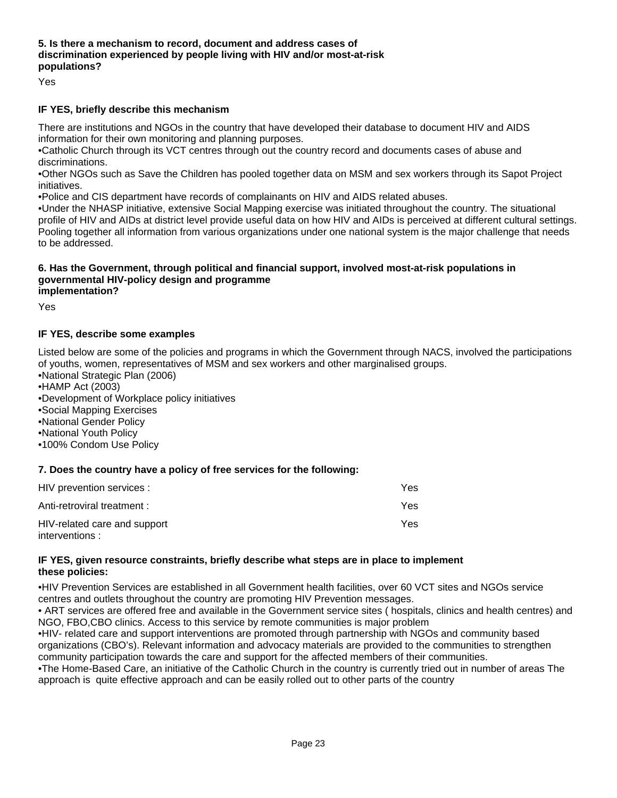#### **5. Is there a mechanism to record, document and address cases of discrimination experienced by people living with HIV and/or most-at-risk populations?**

Yes

#### **IF YES, briefly describe this mechanism**

There are institutions and NGOs in the country that have developed their database to document HIV and AIDS information for their own monitoring and planning purposes.

. Catholic Church through its VCT centres through out the country record and documents cases of abuse and discriminations.

• Other NGOs such as Save the Children has pooled together data on MSM and sex workers through its Sapot Project initiatives.

• Police and CIS department have records of complainants on HIV and AIDS related abuses.

• Under the NHASP initiative, extensive Social Mapping exercise was initiated throughout the country. The situational profile of HIV and AIDs at district level provide useful data on how HIV and AIDs is perceived at different cultural settings. Pooling together all information from various organizations under one national system is the major challenge that needs to be addressed.

#### **6. Has the Government, through political and financial support, involved most-at-risk populations in governmental HIV-policy design and programme implementation?**

Yes

#### **IF YES, describe some examples**

Listed below are some of the policies and programs in which the Government through NACS, involved the participations of youths, women, representatives of MSM and sex workers and other marginalised groups.

- National Strategic Plan (2006)
- HAMP Act (2003)
- • Development of Workplace policy initiatives
- Social Mapping Exercises
- • National Gender Policy
- National Youth Policy
- 100% Condom Use Policy

#### **7. Does the country have a policy of free services for the following:**

| HIV prevention services :                      | Yes |
|------------------------------------------------|-----|
| Anti-retroviral treatment :                    | Yes |
| HIV-related care and support<br>interventions: | Yes |

#### **IF YES, given resource constraints, briefly describe what steps are in place to implement these policies:**

• HIV Prevention Services are established in all Government health facilities, over 60 VCT sites and NGOs service centres and outlets throughout the country are promoting HIV Prevention messages.

• ART services are offered free and available in the Government service sites ( hospitals, clinics and health centres) and NGO, FBO,CBO clinics. Access to this service by remote communities is major problem

• HIV- related care and support interventions are promoted through partnership with NGOs and community based organizations (CBO's). Relevant information and advocacy materials are provided to the communities to strengthen community participation towards the care and support for the affected members of their communities.

• The Home-Based Care, an initiative of the Catholic Church in the country is currently tried out in number of areas The approach is quite effective approach and can be easily rolled out to other parts of the country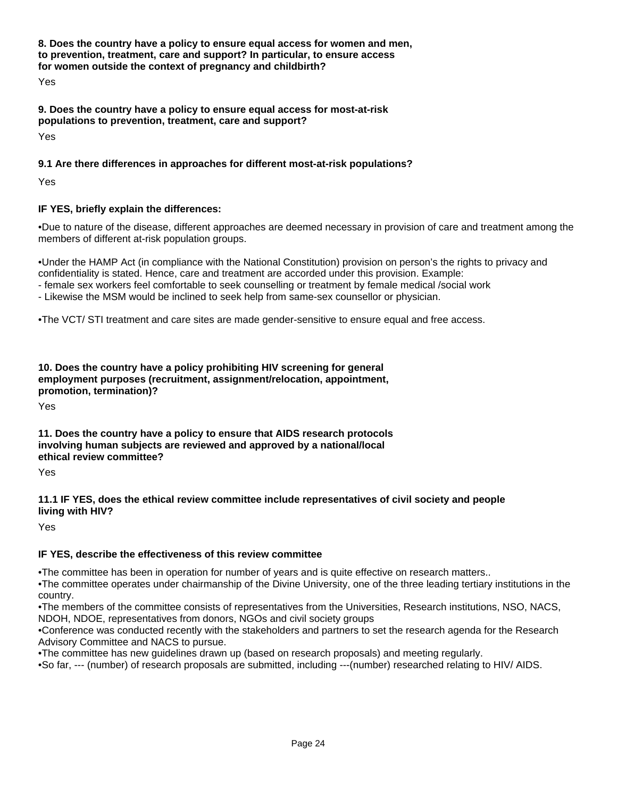**8. Does the country have a policy to ensure equal access for women and men, to prevention, treatment, care and support? In particular, to ensure access for women outside the context of pregnancy and childbirth?**

Yes

# **9. Does the country have a policy to ensure equal access for most-at-risk populations to prevention, treatment, care and support?**

Yes

# **9.1 Are there differences in approaches for different most-at-risk populations?**

Yes

# **IF YES, briefly explain the differences:**

• Due to nature of the disease, different approaches are deemed necessary in provision of care and treatment among the members of different at-risk population groups.

• Under the HAMP Act (in compliance with the National Constitution) provision on person's the rights to privacy and confidentiality is stated. Hence, care and treatment are accorded under this provision. Example:

- female sex workers feel comfortable to seek counselling or treatment by female medical /social work

- Likewise the MSM would be inclined to seek help from same-sex counsellor or physician.

• The VCT/ STI treatment and care sites are made gender-sensitive to ensure equal and free access.

**10. Does the country have a policy prohibiting HIV screening for general employment purposes (recruitment, assignment/relocation, appointment, promotion, termination)?**

Yes

**11. Does the country have a policy to ensure that AIDS research protocols involving human subjects are reviewed and approved by a national/local ethical review committee?**

Yes

#### **11.1 IF YES, does the ethical review committee include representatives of civil society and people living with HIV?**

Yes

# **IF YES, describe the effectiveness of this review committee**

• The committee has been in operation for number of years and is quite effective on research matters..

• The committee operates under chairmanship of the Divine University, one of the three leading tertiary institutions in the country.

• The members of the committee consists of representatives from the Universities, Research institutions, NSO, NACS, NDOH, NDOE, representatives from donors, NGOs and civil society groups

• Conference was conducted recently with the stakeholders and partners to set the research agenda for the Research Advisory Committee and NACS to pursue.

• The committee has new guidelines drawn up (based on research proposals) and meeting regularly.

• So far, --- (number) of research proposals are submitted, including ---(number) researched relating to HIV/ AIDS.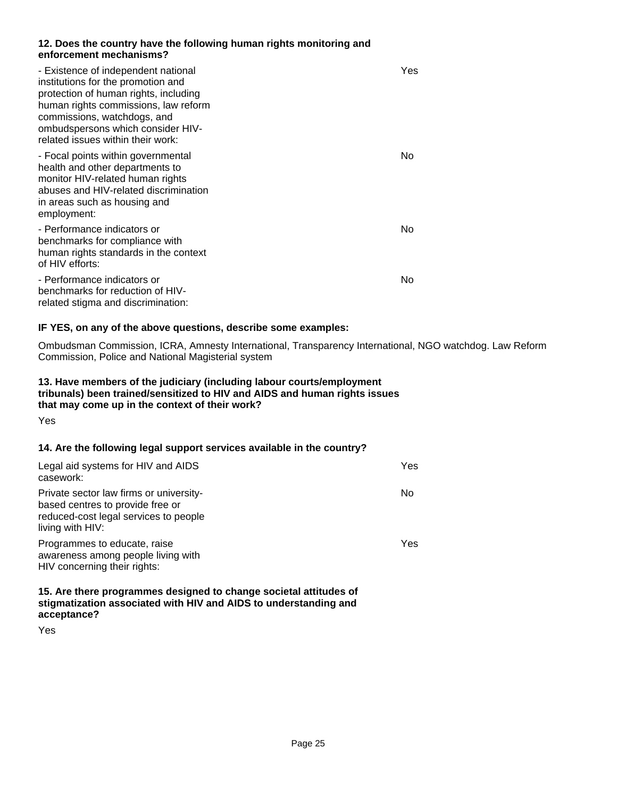#### **12. Does the country have the following human rights monitoring and enforcement mechanisms?**

| - Existence of independent national<br>institutions for the promotion and<br>protection of human rights, including<br>human rights commissions, law reform<br>commissions, watchdogs, and<br>ombudspersons which consider HIV-<br>related issues within their work: | Yes |
|---------------------------------------------------------------------------------------------------------------------------------------------------------------------------------------------------------------------------------------------------------------------|-----|
| - Focal points within governmental<br>health and other departments to<br>monitor HIV-related human rights<br>abuses and HIV-related discrimination<br>in areas such as housing and<br>employment:                                                                   | No  |
| - Performance indicators or<br>benchmarks for compliance with<br>human rights standards in the context<br>of HIV efforts:                                                                                                                                           | No  |
| - Performance indicators or<br>benchmarks for reduction of HIV-<br>related stigma and discrimination:                                                                                                                                                               | No  |

#### **IF YES, on any of the above questions, describe some examples:**

Ombudsman Commission, ICRA, Amnesty International, Transparency International, NGO watchdog. Law Reform Commission, Police and National Magisterial system

#### **13. Have members of the judiciary (including labour courts/employment tribunals) been trained/sensitized to HIV and AIDS and human rights issues that may come up in the context of their work?**

Yes

#### **14. Are the following legal support services available in the country?**

| Legal aid systems for HIV and AIDS<br>casework:                                                                                          | Yes |
|------------------------------------------------------------------------------------------------------------------------------------------|-----|
| Private sector law firms or university-<br>based centres to provide free or<br>reduced-cost legal services to people<br>living with HIV: | No  |
| Programmes to educate, raise<br>awareness among people living with<br>HIV concerning their rights:                                       | Yes |

**15. Are there programmes designed to change societal attitudes of stigmatization associated with HIV and AIDS to understanding and acceptance?**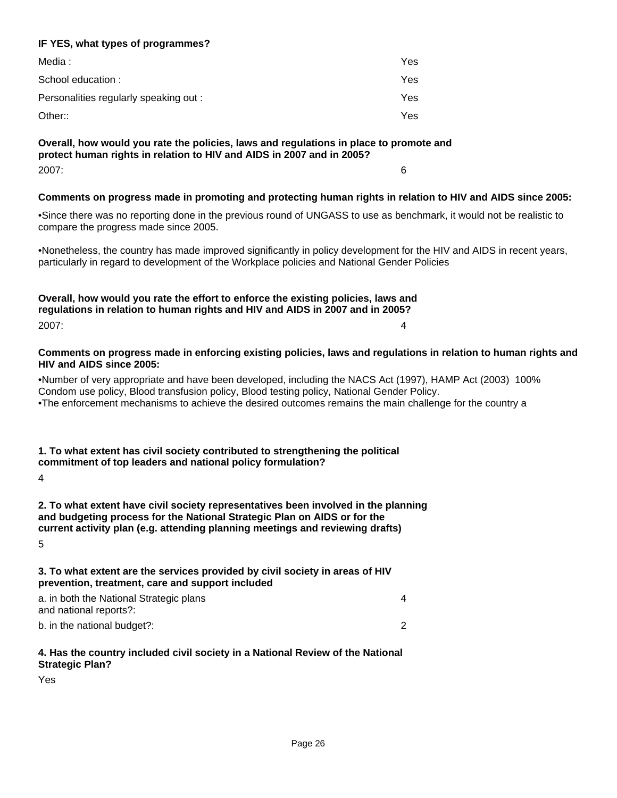#### **IF YES, what types of programmes?**

| Media :                                | Yes |
|----------------------------------------|-----|
| School education:                      | Yes |
| Personalities regularly speaking out : | Yes |
| Other::                                | Yes |

**Overall, how would you rate the policies, laws and regulations in place to promote and protect human rights in relation to HIV and AIDS in 2007 and in 2005?** 2007: 6

#### **Comments on progress made in promoting and protecting human rights in relation to HIV and AIDS since 2005:**

• Since there was no reporting done in the previous round of UNGASS to use as benchmark, it would not be realistic to compare the progress made since 2005.

• Nonetheless, the country has made improved significantly in policy development for the HIV and AIDS in recent years, particularly in regard to development of the Workplace policies and National Gender Policies

**Overall, how would you rate the effort to enforce the existing policies, laws and regulations in relation to human rights and HIV and AIDS in 2007 and in 2005?** 2007: 4

**Comments on progress made in enforcing existing policies, laws and regulations in relation to human rights and HIV and AIDS since 2005:**

• Number of very appropriate and have been developed, including the NACS Act (1997), HAMP Act (2003) 100% Condom use policy, Blood transfusion policy, Blood testing policy, National Gender Policy.

• The enforcement mechanisms to achieve the desired outcomes remains the main challenge for the country a

#### **1. To what extent has civil society contributed to strengthening the political commitment of top leaders and national policy formulation?**

4

**2. To what extent have civil society representatives been involved in the planning and budgeting process for the National Strategic Plan on AIDS or for the current activity plan (e.g. attending planning meetings and reviewing drafts)** 5

**3. To what extent are the services provided by civil society in areas of HIV prevention, treatment, care and support included**

| a. in both the National Strategic plans |  |
|-----------------------------------------|--|
| and national reports?:                  |  |
| b. in the national budget?:             |  |

#### **4. Has the country included civil society in a National Review of the National Strategic Plan?**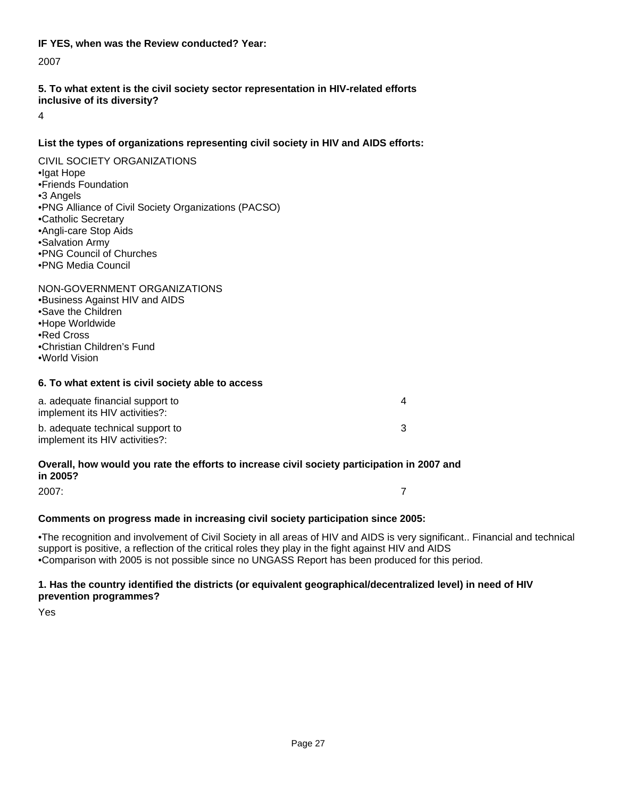#### **IF YES, when was the Review conducted? Year:**

2007

#### **5. To what extent is the civil society sector representation in HIV-related efforts inclusive of its diversity?**

4

## **List the types of organizations representing civil society in HIV and AIDS efforts:**

# CIVIL SOCIETY ORGANIZATIONS

- • Igat Hope
- • Friends Foundation
- • 3 Angels
- PNG Alliance of Civil Society Organizations (PACSO)
- • Catholic Secretary
- • Angli-care Stop Aids
- Salvation Army
- PNG Council of Churches
- • PNG Media Council

#### NON-GOVERNMENT ORGANIZATIONS

- Business Against HIV and AIDS
- Save the Children
- • Hope Worldwide
- • Red Cross
- • Christian Children's Fund
- • World Vision

#### **6. To what extent is civil society able to access**

| a. adequate financial support to<br>implement its HIV activities?: |  |
|--------------------------------------------------------------------|--|
| b. adequate technical support to<br>implement its HIV activities?: |  |

#### **Overall, how would you rate the efforts to increase civil society participation in 2007 and in 2005?**

2007: 7

#### **Comments on progress made in increasing civil society participation since 2005:**

• The recognition and involvement of Civil Society in all areas of HIV and AIDS is very significant.. Financial and technical support is positive, a reflection of the critical roles they play in the fight against HIV and AIDS

• Comparison with 2005 is not possible since no UNGASS Report has been produced for this period.

#### **1. Has the country identified the districts (or equivalent geographical/decentralized level) in need of HIV prevention programmes?**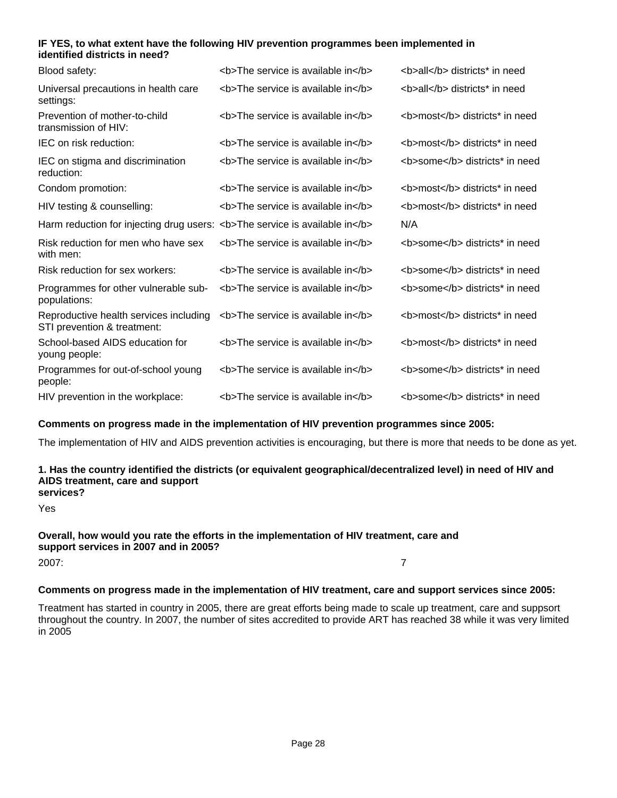#### **IF YES, to what extent have the following HIV prevention programmes been implemented in identified districts in need?**

| Blood safety:                                                               | <b>The service is available in</b> | <b>all</b> districts* in need  |
|-----------------------------------------------------------------------------|------------------------------------|--------------------------------|
| Universal precautions in health care<br>settings:                           | <b>The service is available in</b> | <b>all</b> districts* in need  |
| Prevention of mother-to-child<br>transmission of HIV:                       | <b>The service is available in</b> | <b>most</b> districts* in need |
| IEC on risk reduction:                                                      | <b>The service is available in</b> | <b>most</b> districts* in need |
| IEC on stigma and discrimination<br>reduction:                              | <b>The service is available in</b> | <b>some</b> districts* in need |
| Condom promotion:                                                           | <b>The service is available in</b> | <b>most</b> districts* in need |
| HIV testing & counselling:                                                  | <b>The service is available in</b> | <b>most</b> districts* in need |
| Harm reduction for injecting drug users: <b>The service is available in</b> |                                    | N/A                            |
| Risk reduction for men who have sex<br>with men:                            | <b>The service is available in</b> | <b>some</b> districts* in need |
| Risk reduction for sex workers:                                             | <b>The service is available in</b> | <b>some</b> districts* in need |
| Programmes for other vulnerable sub-<br>populations:                        | <b>The service is available in</b> | <b>some</b> districts* in need |
| Reproductive health services including<br>STI prevention & treatment:       | <b>The service is available in</b> | <b>most</b> districts* in need |
| School-based AIDS education for<br>young people:                            | <b>The service is available in</b> | <b>most</b> districts* in need |
| Programmes for out-of-school young<br>people:                               | <b>The service is available in</b> | <b>some</b> districts* in need |
| HIV prevention in the workplace:                                            | <b>The service is available in</b> | <b>some</b> districts* in need |

#### **Comments on progress made in the implementation of HIV prevention programmes since 2005:**

The implementation of HIV and AIDS prevention activities is encouraging, but there is more that needs to be done as yet.

#### **1. Has the country identified the districts (or equivalent geographical/decentralized level) in need of HIV and AIDS treatment, care and support services?**

Yes

# **Overall, how would you rate the efforts in the implementation of HIV treatment, care and support services in 2007 and in 2005?** 2007: 7

#### **Comments on progress made in the implementation of HIV treatment, care and support services since 2005:**

Treatment has started in country in 2005, there are great efforts being made to scale up treatment, care and suppsort throughout the country. In 2007, the number of sites accredited to provide ART has reached 38 while it was very limited in 2005